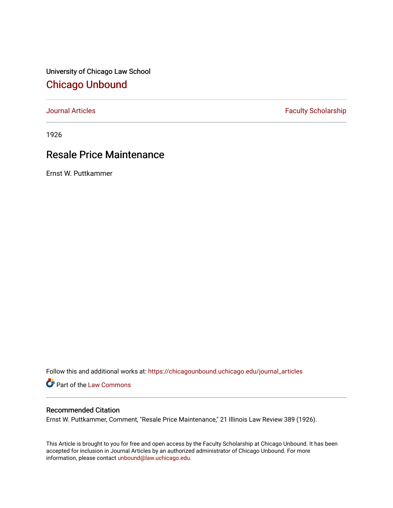University of Chicago Law School [Chicago Unbound](https://chicagounbound.uchicago.edu/)

[Journal Articles](https://chicagounbound.uchicago.edu/journal_articles) **Faculty Scholarship Faculty Scholarship** 

1926

## Resale Price Maintenance

Ernst W. Puttkammer

Follow this and additional works at: [https://chicagounbound.uchicago.edu/journal\\_articles](https://chicagounbound.uchicago.edu/journal_articles?utm_source=chicagounbound.uchicago.edu%2Fjournal_articles%2F9350&utm_medium=PDF&utm_campaign=PDFCoverPages) 

Part of the [Law Commons](http://network.bepress.com/hgg/discipline/578?utm_source=chicagounbound.uchicago.edu%2Fjournal_articles%2F9350&utm_medium=PDF&utm_campaign=PDFCoverPages)

## Recommended Citation

Ernst W. Puttkammer, Comment, "Resale Price Maintenance," 21 Illinois Law Review 389 (1926).

This Article is brought to you for free and open access by the Faculty Scholarship at Chicago Unbound. It has been accepted for inclusion in Journal Articles by an authorized administrator of Chicago Unbound. For more information, please contact [unbound@law.uchicago.edu](mailto:unbound@law.uchicago.edu).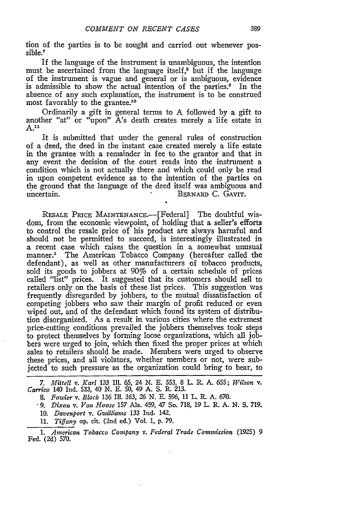ion of the parties is to be sought and carried out whenever possible.7

If the language of the instrument is unambiguous, the intention must be ascertained from the language itself,8 but if the language of the instrument is vague and general or is ambiguous, evidence is admissible to show the actual intention of the parties.<sup>9</sup> In the absence of any such explanation, the instrument is to be construed most favorably to the grantee.10

Ordinarily a gift in general terms to A followed by a gift to another "at" or "upon" A's death creates merely a life estate in **A."**

It is submitted that under the general rules of construction of a deed, the deed in the instant case created merely a life estate in the grantee with a remainder in fee to the grantor and that in any event the decision of the court reads into the instrument a condition which is not actually there and which could only be read in upon competent evidence as to the intention of the parties on the ground that the language of the deed itself was ambiguous and uncertain. BERNARD C. GAVIT.

RESALE PRICE MAINTENANCE.-[Federal] The doubtful wisdom, from the economic viewpoint, of holding that a seller's efforts to control the resale price of his product are always harmful and should not be permitted to succeed, is interestingly illustrated in a recent case which raises the question in a somewhat unusual manner.' The American Tobacco Company (hereafter called the defendant), as well as other manufacturers of tobacco products, sold its goods to jobbers at 90% of a certain schedule of prices called "list" prices. It suggested that its customers should sell to retailers only on the basis of these list prices. This suggestion was frequently disregarded by jobbers, to the mutual dissatisfaction of competing jobbers who saw their margin of profit reduced or even wiped out, and of the defendant which found its system of distribution disorganized. As a result in various cities where the extremest price-cutting conditions prevailed the jobbers themselves took steps to protect themselves by forming loose organizations, which all jobbers were urged to join, which then fixed the proper prices at which sales to retailers should be made. Members were urged to observe these prices, and all violators, whether members or not, were subjected to such pressure as the organization could bring to bear, to

*7. Mittell v. Karl* **133** Ill. 65, 24 **N. E.** 553, 8 L. R. **A.** 655; *Wilson v. Carrico* 140 Ind. **533,** 40 **N. E. 50,** 49 **A. S.** R. **213.**

**8.** *Fowler v. Black* **136 Ill. 363, 26 N. E.** 596, **11** L. **L A. 670.**

**-9.** *Dixon v. Van Hoose* **157** Ala. 459, 47 So. 718, **19** L. R. **A. N. S. 719.**

10. *Davenport v. Gwilliams* 133 Ind. 142.

**11.** *Tiffany* op. cit. (2nd ed.) Vol. **1, p. 79.**

**1.** *American Tobacco Company v. Federal Trade Commission* **(1925) 9** Fed. (2d) 570.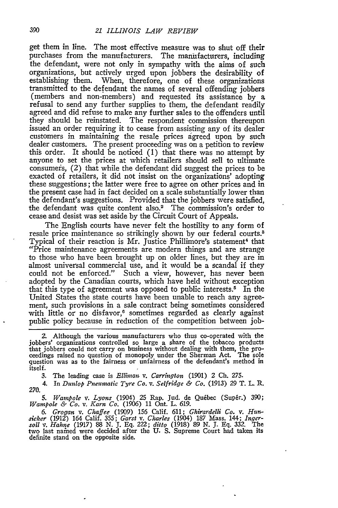get them in line. The most effective measure was to shut off their purchases from the manufacturers. The manufacturers, including the defendant, were not only in sympathy with the aims of such organizations, but actively urged upon jobbers the desirability of establishing them. When, therefore, one of these organizations transmitted to the defendant the names of several offending jobbers (members and non-members) and requested its assistance by a refusal to send any further supplies to them, the defendant readily agreed and did refuse to make any further sales to the offenders until they should be reinstated. The respondent commission thereupon issued an order requiring it to cease from assisting any of its dealer customers in maintaining the resale prices agreed upon by such dealer customers. The present proceeding was on a petition to review this order. It should be noticed  $(1)$  that there was no attempt by anyone to set the prices at which retailers should sell to ultimate consumers, (2) that while the defendant did suggest the prices to be exacted of retailers, it did not insist on the organizations' adopting these suggestions; the latter were free to agree on other prices and in the present case had in fact decided on a scale substantially lower than the defendant's suggestions. Provided that the jobbers were satisfied, the defendant was quite content also.<sup>2</sup> The commission's order to cease and desist was set aside by the Circuit Court of Appeals.

The English courts have never felt the hostility to any form of resale price maintenance so strikingly shown by our federal courts.3 Typical of their reaction is Mr. Justice Phillimore's statement<sup>4</sup> that "Price maintenance agreements are modern things and are strange to those who have been brought up on older lines, but they are in almost universal commercial use, and it would be a scandal if they could not be enforced." Such a view, however, has never been adopted by the Canadian courts, which have held without exception that this type of agreement was opposed to public interests.<sup>5</sup> In the United States the state courts have been unable to reach any agreement, such provisions in a sale contract being sometimes considered with little or no disfavor,<sup>6</sup> sometimes regarded as clearly against public policy because in reduction of the competition between job-

*2.* Although the various manufacturers who thus co-operated with the jobbers' organizations controlled so large a share of the tobacco products<br>that jobbers could not carry on business without dealing with them, the pro-<br>ceedings raised no question of monopoly under the Sherman Act. The sol itself.

3. The leading case is *Elliman v. Carrington* (1901) 2 Ch. 275.

4. In *Dunlop Pneumatic Tyre Co. v. Selfridge & Co.* (1913) **29** T. L. R. 270.

*5. Wainpole v. Lyons* (1904) 25 Rap. Jud. de Quebec (Super.) 390; *Wampole & Co. v. Karn Co.* (1906) 11 Ont. L. 619.

6. Grogan v. Chaffee (1909) 156 Calif. 611; Ghirardelli Co. v. Hunsicker (1912) 164 Calif. 355; Garst v. Charles (1904) 187 Mass. 144; Ingersoll v. Hahne (1917) 88 N. J. Eq. 222; ditto (1918) 89 N. J. Eq. 332. The two last definite stand on the opposite side.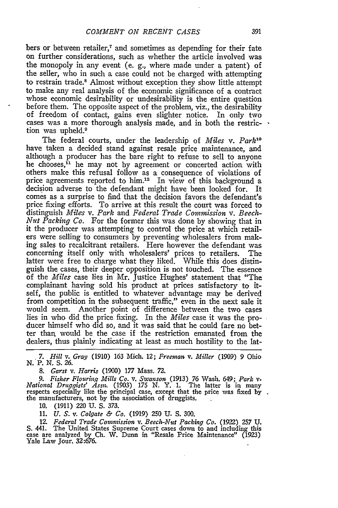bers or between retailer,<sup>7</sup> and sometimes as depending for their fate on further considerations, such as whether the article involved was the monopoly in any event (e. g., where made under a patent) of the seller, who in such a case could not be charged with attempting to restrain trade." Almost without exception they show little attempt to make any real analysis of the economic significance of a contract whose economic desirability or undesirability is the entire question before them. The opposite aspect of the problem, viz., the desirability of freedom of contact, gains even slighter notice. In only two cases was a more thorough analysis made, and in both the restriction was upheld.<sup>9</sup>

The federal courts, under the leadership of *Miles v. Park*<sup>10</sup> have taken a decided stand against resale price maintenance, and although a producer has the bare right to refuse to sell to anyone he chooses,<sup>i1</sup> he may not by agreement or concerted action with others make this refusal follow as a consequence of violations of price agreements reported to him.<sup>12</sup> In view of this background a decision adverse to the defendant might have been looked for. It comes as a surprise to find that the decision favors the defendant's price fixing efforts. To arrive at this result the court was forced to distinguish *Miles v. Park* and *Federal Trade Commission v. Beech-Nut Packing Co.* For the former this was done **by** showing that in it the producer was attempting to control the price at which retailers were selling to consumers **by** preventing wholesalers from making sales to recalcitrant retailers. Here however the defendant was concerning itself only with wholesalers' prices to retailers. The latter were free to charge what they liked. While this does distinguish the cases, their deeper opposition is not touched. The essence of the *Miles* case lies in Mr. Justice Hughes' statement that "The complainant having sold his product at prices satisfactory to itself, the public is entitled to whatever advantage may be derived from competition in the subsequent traffic," even in the next sale it would seem. Another point of difference between the two cases lies in who did the price fixing. In the *Miles* case it was the producer himself who did so, and it was said that he could fare no better than would be the case if the restriction emanated from the dealers, thus plainly indicating at least as much hostility to the lat-

• *7. Hill v. Gray* (1910) **163** Mich. 12; *Freeman v. Miller* (1909) **9** Ohio N. P. N. **S.** 26.

*8. Garst v. Harris* (1900) 177 Mass. 72.

9. Fisher Flouring Mills Co. v. Swanson (1913) 76 Wash. 649; Park v. National Druggists' Assn. (1903) 175 N. Y. 1. The latter is in many respects especially like the principal case, except that the price was fixed by the manufacturers, not by the association of druggists.

10. (1911) 220 U. S. 373.

11. *U. S.* v. *Colgate & Co.* (1919) 250 **U.** S. 300.

12. *Federal Trade Commission v. Beech-Nut Packing Co.* (1922) 257 **U.** S. 441. The United States Supreme Court cases down to and including this case are analyzed by Ch. W. Dunn in "Resale Price Maintenance" (1923) Yale Law Jour. 32:676.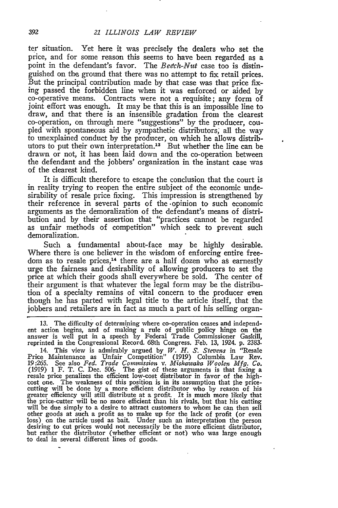ter situation. Yet here it was precisely the dealers who set the price, and for some reason this seems to have been regarded as a point in the defendant's favor. The *Beech-Nut* case too is distinguished on the ground that there was no attempt to fix retail prices. But the principal contribution made by that case was that price fixing passed the forbidden line when it was enforced or aided by co-operative means. Contracts were not a requisite; any form of joint effort was enough. It may be that this is an impossible line to draw, and that there is an insensible gradation from the clearest co-operation, on through mere "suggestions" by the producer, coupled with spontaneous aid by sympathetic distributors, all the way to unexplained conduct by the producer, on which he allows distributors to put their own interpretation.<sup>13</sup> But whether the line can be drawn or not, it has been laid down and the co-operation between the defendant and the jobbers' organization in the instant case was of the clearest kind.

It is difficult therefore to escape the conclusion that the court is in reality trying to reopen the entire subject of the economic undesirability of resale price fixing. This impression is strengthened by their reference in several parts of the .opinion to such economic arguments as the demoralization of the defendant's means of distribution and by their assertion that "practices cannot be regarded as unfair methods of competition" which seek to prevent such demoralization.

Such a fundamental about-face may be highly desirable. Where there is one believer in the wisdom of enforcing entire freedom as to resale prices,<sup>14</sup> there are a half dozen who as earnestly urge the fairness and desirability of allowing producers to set the price at which their goods shall everywhere be sold. The center of their argument is that whatever the legal form may be the distribution of a specialty remains of vital concern to the producer even though he has parted with legal title to the article itself, that the jobbers and retailers are in fact as much a part of his selling organ-

**13.** The difficulty of determining where co-operation ceases and independent action begins, and of making a rule of public policy hinge on the answer is well put in a speech **by** Federal Trade Commissioner Gaskill, reprinted in the Congressional Record. 68th Congress. Feb. 13, 1924. p. 2383.

14. This view is admirably argued by *W. H. S. Stevens* in "Resale Price Maintenance as Unfair Competition" (1919) Columbia Law Rev. **19:265.** See also *Fed. Trade Comnission v. Mishawaka Woolen Mfg. Co.* (1919) 1 F. T. C. Dec. 506. The gist of these arguments is that fixing a resale price penalizes the efficient low-cost distributor in favor of the highcost one. The weakness of this position is in its assumption that the price-<br>cutting will be done by a more efficient distributor who by reason of his<br>greater efficiency will still distribute at a profit. It is much more l the price-cutter will be no more efficient than his rivals, but that his cutting will be due simply to a desire to attract customers to whom he can then sell other goods at such a profit as to make up for the lack of profit (or even<br>loss) on the article used as bait. Under such an interpretation the person<br>desiring to cut prices would not necessarily be the more efficient distr but rather the distributor (whether efficient or not) who was large enough to deal in several different lines of goods.